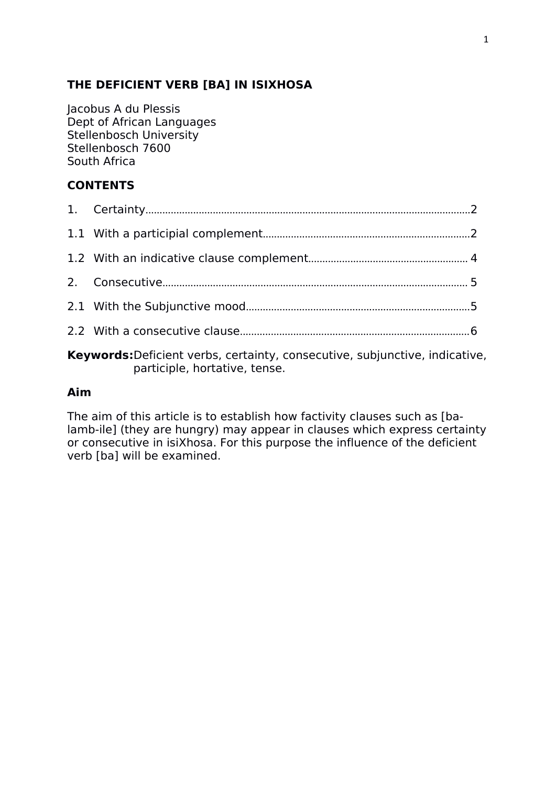### **THE DEFICIENT VERB [BA] IN ISIXHOSA**

Jacobus A du Plessis Dept of African Languages Stellenbosch University Stellenbosch 7600 South Africa

## **CONTENTS**

| $\mathbf{r}$ , and the contract of the contract of the contract of the contract of the contract of the contract of the contract of the contract of the contract of the contract of the contract of the contract of the contract o |  |
|-----------------------------------------------------------------------------------------------------------------------------------------------------------------------------------------------------------------------------------|--|

**Keywords:**Deficient verbs, certainty, consecutive, subjunctive, indicative, participle, hortative, tense.

### **Aim**

The aim of this article is to establish how factivity clauses such as [balamb-ile] (they are hungry) may appear in clauses which express certainty or consecutive in isiXhosa. For this purpose the influence of the deficient verb [ba] will be examined.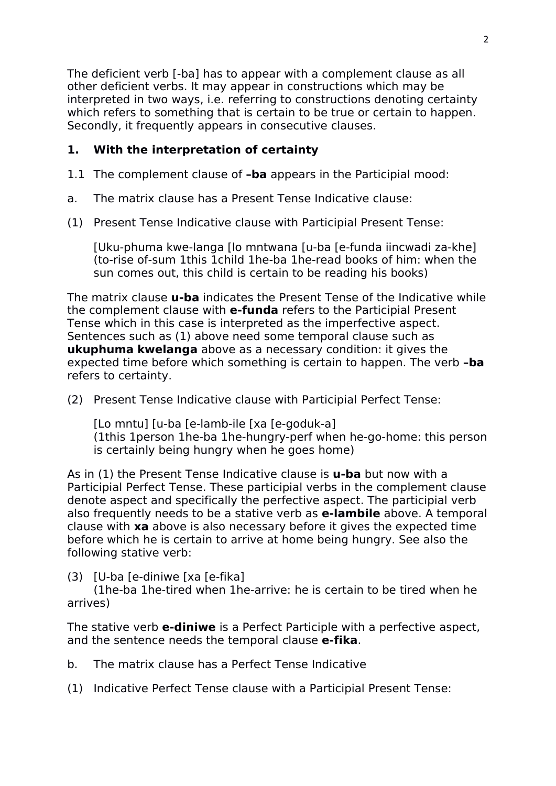The deficient verb [-ba] has to appear with a complement clause as all other deficient verbs. It may appear in constructions which may be interpreted in two ways, i.e. referring to constructions denoting certainty which refers to something that is certain to be true or certain to happen. Secondly, it frequently appears in consecutive clauses.

## **1. With the interpretation of certainty**

- 1.1 The complement clause of **–ba** appears in the Participial mood:
- a. The matrix clause has a Present Tense Indicative clause:
- (1) Present Tense Indicative clause with Participial Present Tense:

[Uku-phuma kwe-langa [lo mntwana [u-ba [e-funda iincwadi za-khe] (to-rise of-sum 1this 1child 1he-ba 1he-read books of him: when the sun comes out, this child is certain to be reading his books)

The matrix clause **u-ba** indicates the Present Tense of the Indicative while the complement clause with **e-funda** refers to the Participial Present Tense which in this case is interpreted as the imperfective aspect. Sentences such as (1) above need some temporal clause such as **ukuphuma kwelanga** above as a necessary condition: it gives the expected time before which something is certain to happen. The verb **–ba** refers to certainty.

(2) Present Tense Indicative clause with Participial Perfect Tense:

[Lo mntu] [u-ba [e-lamb-ile [xa [e-goduk-a] (1this 1person 1he-ba 1he-hungry-perf when he-go-home: this person is certainly being hungry when he goes home)

As in (1) the Present Tense Indicative clause is **u-ba** but now with a Participial Perfect Tense. These participial verbs in the complement clause denote aspect and specifically the perfective aspect. The participial verb also frequently needs to be a stative verb as **e-lambile** above. A temporal clause with **xa** above is also necessary before it gives the expected time before which he is certain to arrive at home being hungry. See also the following stative verb:

(3) [U-ba [e-diniwe [xa [e-fika]

(1he-ba 1he-tired when 1he-arrive: he is certain to be tired when he arrives)

The stative verb **e-diniwe** is a Perfect Participle with a perfective aspect, and the sentence needs the temporal clause **e-fika**.

b. The matrix clause has a Perfect Tense Indicative

(1) Indicative Perfect Tense clause with a Participial Present Tense: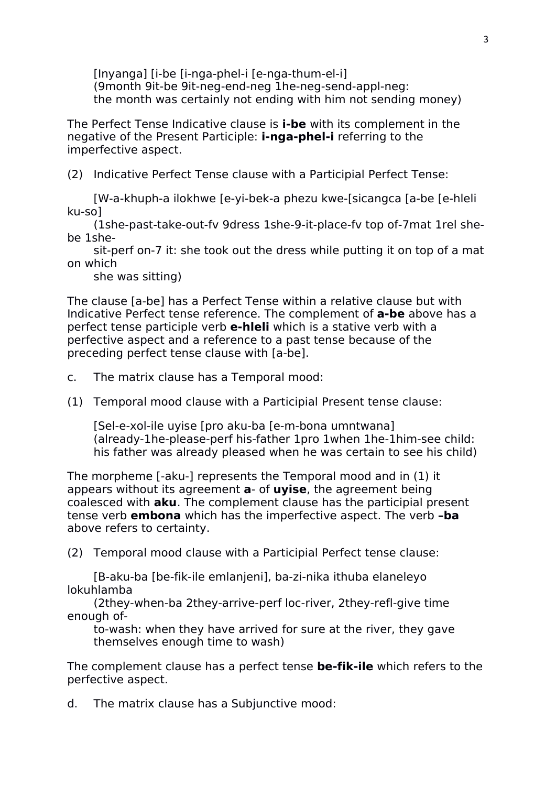[Inyanga] [i-be [i-nga-phel-i [e-nga-thum-el-i] (9month 9it-be 9it-neg-end-neg 1he-neg-send-appl-neg: the month was certainly not ending with him not sending money)

The Perfect Tense Indicative clause is **i-be** with its complement in the negative of the Present Participle: **i-nga-phel-i** referring to the imperfective aspect.

(2) Indicative Perfect Tense clause with a Participial Perfect Tense:

[W-a-khuph-a ilokhwe [e-yi-bek-a phezu kwe-[sicangca [a-be [e-hleli ku-so]

(1she-past-take-out-fy 9dress 1she-9-it-place-fy top of-7mat 1rel shebe 1she-

sit-perf on-7 it: she took out the dress while putting it on top of a mat on which

she was sitting)

The clause [a-be] has a Perfect Tense within a relative clause but with Indicative Perfect tense reference. The complement of **a-be** above has a perfect tense participle verb **e-hleli** which is a stative verb with a perfective aspect and a reference to a past tense because of the preceding perfect tense clause with [a-be].

c. The matrix clause has a Temporal mood:

(1) Temporal mood clause with a Participial Present tense clause:

[Sel-e-xol-ile uyise [pro aku-ba [e-m-bona umntwana] (already-1he-please-perf his-father 1pro 1when 1he-1him-see child: his father was already pleased when he was certain to see hischild)

The morpheme [-aku-] represents the Temporal mood and in (1) it appears without its agreement **a**- of **uyise**, the agreement being coalesced with **aku**. The complement clause has the participial present tense verb **embona** which has the imperfective aspect. The verb **–ba** above refers to certainty.

(2) Temporal mood clause with a Participial Perfect tense clause:

[B-aku-ba [be-fik-ile emlanjeni], ba-zi-nika ithuba elaneleyo lokuhlamba

(2they-when-ba 2they-arrive-perf loc-river, 2they-refl-give time enough of-

to-wash: when they have arrived for sure at the river, they gave themselves enough time to wash)

The complement clause has a perfect tense **be-fik-ile** which refers to the perfective aspect.

d. The matrix clause has a Subjunctive mood: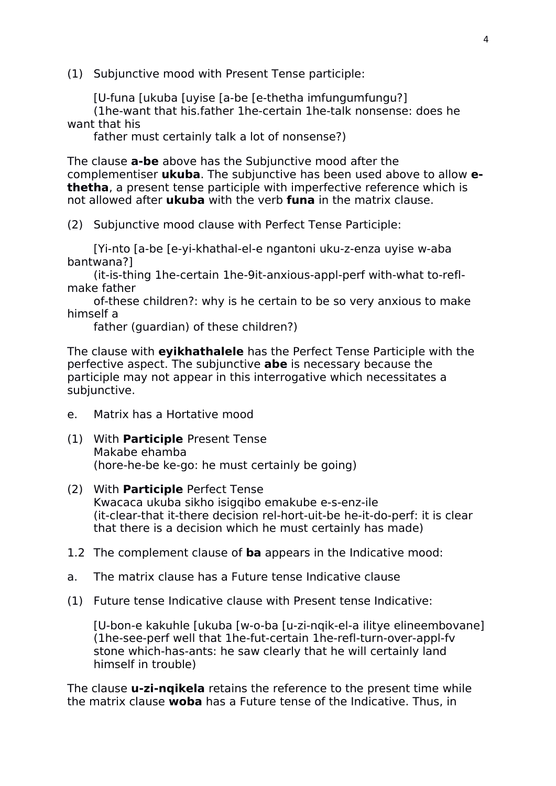(1) Subjunctive mood with Present Tense participle:

[U-funa [ukuba [uyise [a-be [e-thetha imfungumfungu?]

(1he-want that his.father 1he-certain 1he-talk nonsense: does he want that his

father must certainly talk a lot of nonsense?)

The clause **a-be** above has the Subjunctive mood after the complementiser **ukuba**. The subjunctive has been used above to allow **ethetha**, a present tense participle with imperfective reference which is not allowed after **ukuba** with the verb **funa** in the matrix clause.

(2) Subjunctive mood clause with Perfect Tense Participle:

[Yi-nto [a-be [e-yi-khathal-el-e ngantoni uku-z-enza uyise w-aba bantwana?]

(it-is-thing 1he-certain 1he-9it-anxious-appl-perf with-what to-reflmake father

of-these children?: why is he certain to be so very anxious to make himself a

father (guardian) of these children?)

The clause with **eyikhathalele** has the Perfect Tense Participle with the perfective aspect. The subjunctive **abe** is necessary because the participle may not appear in this interrogative which necessitates a subjunctive.

- e. Matrix has a Hortative mood
- (1) With **Participle** Present Tense Makabe ehamba (hore-he-be ke-go: he must certainly be going)
- (2) With **Participle** Perfect Tense Kwacaca ukuba sikho isigqibo emakube e-s-enz-ile (it-clear-that it-there decision rel-hort-uit-be he-it-do-perf: it is clear that there is a decision which he must certainly has made)
- 1.2 The complement clause of **ba** appears in the Indicative mood:
- a. The matrix clause has a Future tense Indicative clause
- (1) Future tense Indicative clause with Present tense Indicative:

[U-bon-e kakuhle [ukuba [w-o-ba [u-zi-nqik-el-a ilitye elineembovane] (1he-see-perf well that 1he-fut-certain 1he-refl-turn-over-appl-fv stone which-has-ants: he saw clearly that he will certainly land himself in trouble)

The clause **u-zi-nqikela** retains the reference to the present time while the matrix clause **woba** has a Future tense of the Indicative. Thus, in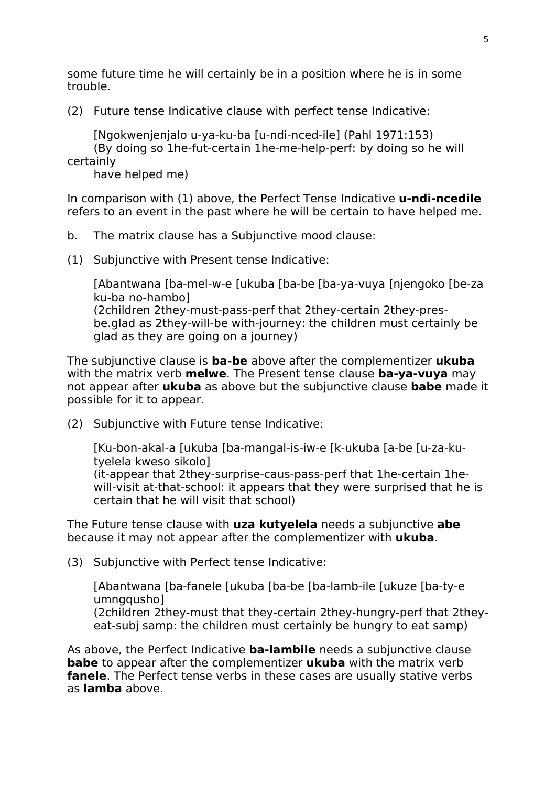some future time he will certainly be in a position where he is in some trouble.

(2) Future tense Indicative clause with perfect tense Indicative:

[Ngokwenjenjalo u-ya-ku-ba [u-ndi-nced-ile] (Pahl 1971:153) (By doing so 1he-fut-certain 1he-me-help-perf: by doing so he will certainly

have helped me)

In comparison with (1) above, the Perfect Tense Indicative **u-ndi-ncedile** refers to an event in the past where he will be certain to have helped me.

- b. The matrix clause has a Subjunctive mood clause:
- (1) Subjunctive with Present tense Indicative:

[Abantwana [ba-mel-w-e [ukuba [ba-be [ba-ya-vuya [njengoko [be-za ku-ba no-hambo] (2children 2they-must-pass-perf that 2they-certain 2they-presbe.glad as 2they-will-be with-journey: the children must certainly be glad as they are going on a journey)

The subjunctive clause is **ba-be** above after the complementizer **ukuba** with the matrix verb **melwe**. The Present tense clause **ba-ya-vuya** may not appear after **ukuba** as above but the subjunctive clause **babe** made it possible for it to appear.

(2) Subjunctive with Future tense Indicative:

[Ku-bon-akal-a [ukuba [ba-mangal-is-iw-e [k-ukuba [a-be [u-za-kutyelela kweso sikolo] (it-appear that 2they-surprise-caus-pass-perf that 1he-certain 1hewill-visit at-that-school: it appears that they were surprised that he is certain that he will visit that school)

The Future tense clause with **uza kutyelela** needs a subjunctive **abe** because it may not appear after the complementizer with **ukuba**.

(3) Subjunctive with Perfect tense Indicative:

[Abantwana [ba-fanele [ukuba [ba-be [ba-lamb-ile [ukuze [ba-ty-e umngqusho] (2children 2they-must that they-certain 2they-hungry-perf that 2they-

eat-subj samp: the children must certainly be hungry to eat samp)

As above, the Perfect Indicative **ba-lambile** needs a subjunctive clause **babe** to appear after the complementizer **ukuba** with the matrix verb **fanele**. The Perfect tense verbs in these cases are usually stative verbs as **lamba** above.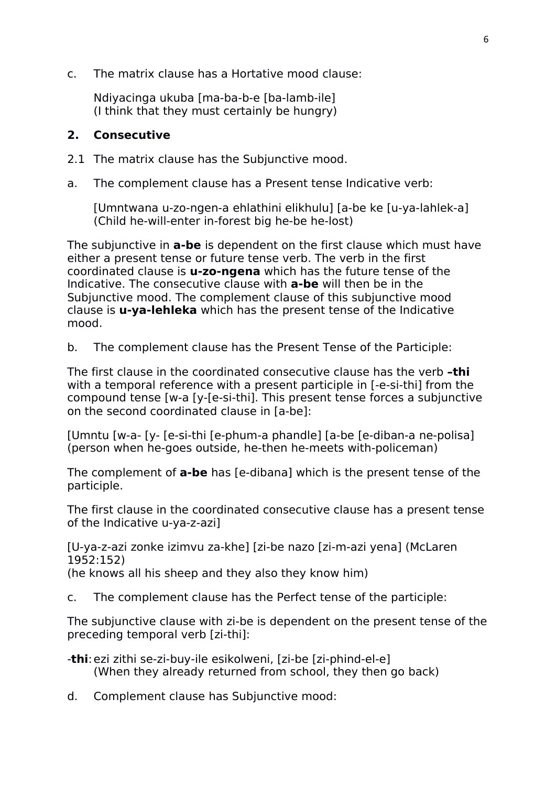c. The matrix clause has a Hortative mood clause:

Ndiyacinga ukuba [ma-ba-b-e [ba-lamb-ile] (I think that they must certainly be hungry)

#### **2. Consecutive**

- 2.1 The matrix clause has the Subjunctive mood.
- a. The complement clause has a Present tense Indicative verb:

[Umntwana u-zo-ngen-a ehlathini elikhulu] [a-be ke [u-ya-lahlek-a] (Child he-will-enter in-forest big he-be he-lost)

The subjunctive in **a-be** is dependent on the first clause which must have either a present tense or future tense verb. The verb in the first coordinated clause is **u-zo-ngena** which has the future tense of the Indicative. The consecutive clause with **a-be** will then be in the Subjunctive mood. The complement clause of this subjunctive mood clause is **u-ya-lehleka** which has the present tense of the Indicative mood.

b. The complement clause has the Present Tense of the Participle:

The first clause in the coordinated consecutive clause has the verb **–thi** with a temporal reference with a present participle in [-e-si-thi] from the compound tense [w-a [y-[e-si-thi]. This present tense forces a subjunctive on the second coordinated clause in [a-be]:

[Umntu [w-a- [y- [e-si-thi [e-phum-a phandle] [a-be [e-diban-a ne-polisa] (person when he-goes outside, he-then he-meets with-policeman)

The complement of **a-be** has [e-dibana] which is the present tense of the participle.

The first clause in the coordinated consecutive clause has a present tense of the Indicative u-ya-z-azi]

[U-ya-z-azi zonke izimvu za-khe] [zi-be nazo [zi-m-azi yena] (McLaren 1952:152) (he knows all his sheep and they also they know him)

c. The complement clause has the Perfect tense of the participle:

The subjunctive clause with zi-be is dependent on the present tense of the preceding temporal verb [zi-thi]:

- -**thi**:ezi zithi se-zi-buy-ile esikolweni, [zi-be [zi-phind-el-e] (When they already returned from school, they then go back)
- d. Complement clause has Subjunctive mood: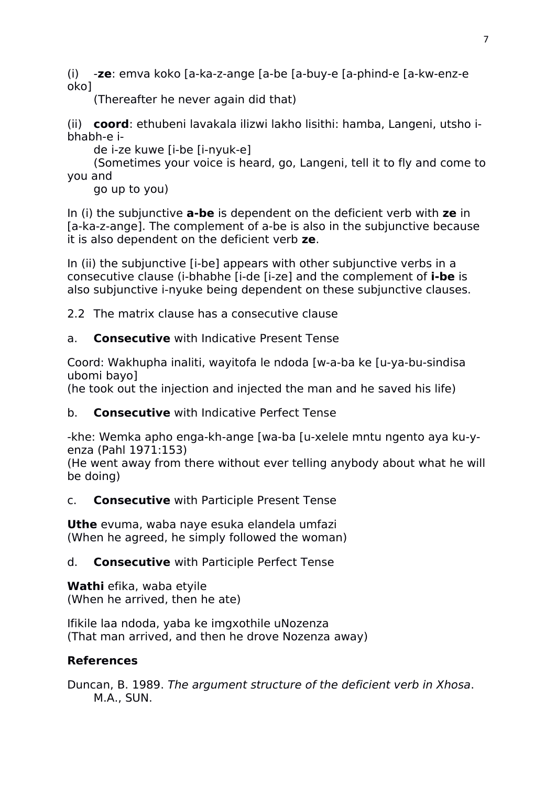(i) -**ze**: emva koko [a-ka-z-ange [a-be [a-buy-e [a-phind-e [a-kw-enz-e oko]

(Thereafter he never again did that)

(ii) **coord**: ethubeni lavakala ilizwi lakho lisithi: hamba, Langeni, utsho ibhabh-e i-

de i-ze kuwe [i-be [i-nyuk-e]

(Sometimes your voice is heard, go, Langeni, tell it to fly and come to you and

go up to you)

In (i) the subjunctive **a-be** is dependent on the deficient verb with **ze** in [a-ka-z-ange]. The complement of a-be is also in the subjunctive because it is also dependent on the deficient verb **ze**.

In (ii) the subjunctive [i-be] appears with other subjunctive verbs in a consecutive clause (i-bhabhe [i-de [i-ze] and the complement of **i-be** is also subjunctive i-nyuke being dependent on these subjunctive clauses.

2.2 The matrix clause has a consecutive clause

### a. **Consecutive** with Indicative Present Tense

Coord: Wakhupha inaliti, wayitofa le ndoda [w-a-ba ke [u-ya-bu-sindisa ubomi bayo]

(he took out the injection and injected the man and he saved his life)

b. **Consecutive** with Indicative Perfect Tense

-khe: Wemka apho enga-kh-ange [wa-ba [u-xelele mntu ngento aya ku-yenza (Pahl 1971:153)

(He went away from there without ever telling anybody about what he will be doing)

### c. **Consecutive** with Participle Present Tense

**Uthe** evuma, waba naye esuka elandela umfazi (When he agreed, he simply followed the woman)

### d. **Consecutive** with Participle Perfect Tense

**Wathi** efika, waba etyile (When he arrived, then he ate)

Ifikile laa ndoda, yaba ke imgxothile uNozenza (That man arrived, and then he drove Nozenza away)

# **References**

Duncan, B. 1989. *The argument structure of the deficient verb in Xhosa*. M.A., SUN.